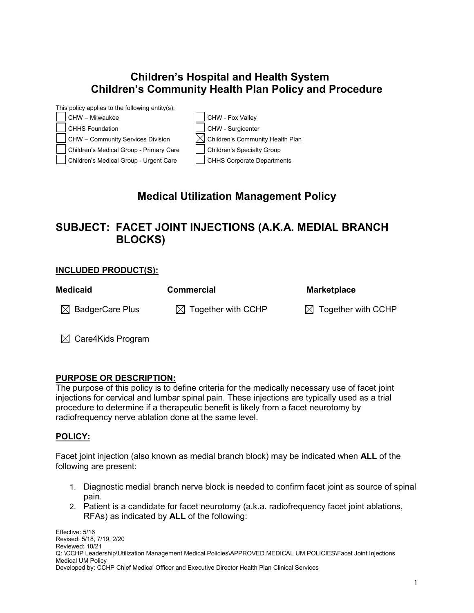### **Children's Hospital and Health System Children's Community Health Plan Policy and Procedure**



# **Medical Utilization Management Policy**

# **SUBJECT: FACET JOINT INJECTIONS (A.K.A. MEDIAL BRANCH BLOCKS)**

#### **INCLUDED PRODUCT(S):**

| <b>Medicaid</b>             | <b>Commercial</b>              | <b>Marketplace</b>             |
|-----------------------------|--------------------------------|--------------------------------|
| $\boxtimes$ BadgerCare Plus | $\boxtimes$ Together with CCHP | $\boxtimes$ Together with CCHP |
|                             |                                |                                |

 $\boxtimes$  Care4Kids Program

#### **PURPOSE OR DESCRIPTION:**

The purpose of this policy is to define criteria for the medically necessary use of facet joint injections for cervical and lumbar spinal pain. These injections are typically used as a trial procedure to determine if a therapeutic benefit is likely from a facet neurotomy by radiofrequency nerve ablation done at the same level.

### **POLICY:**

Facet joint injection (also known as medial branch block) may be indicated when **ALL** of the following are present:

- 1. Diagnostic medial branch nerve block is needed to confirm facet joint as source of spinal pain.
- 2. Patient is a candidate for facet neurotomy (a.k.a. radiofrequency facet joint ablations, RFAs) as indicated by **ALL** of the following: